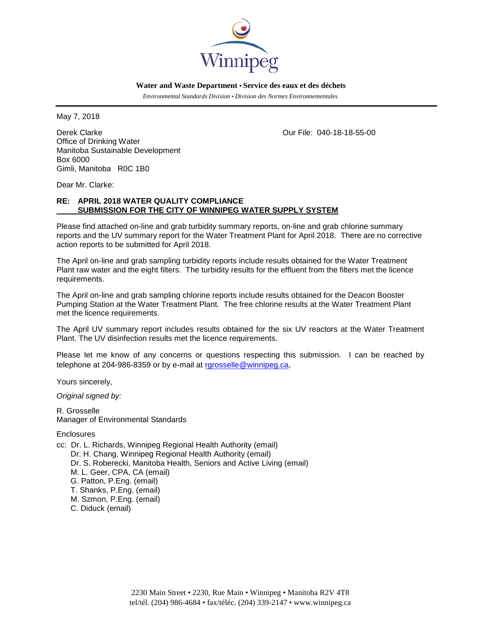

 **Water and Waste Department • Service des eaux et des déchets**

 *Environmental Standards Division • Division des Normes Environnementales*

May 7, 2018

Derek Clarke Our File: 040-18-18-55-00 Office of Drinking Water Manitoba Sustainable Development Box 6000 Gimli, Manitoba R0C 1B0

Dear Mr. Clarke:

## **RE: APRIL 2018 WATER QUALITY COMPLIANCE SUBMISSION FOR THE CITY OF WINNIPEG WATER SUPPLY SYSTEM**

Please find attached on-line and grab turbidity summary reports, on-line and grab chlorine summary reports and the UV summary report for the Water Treatment Plant for April 2018. There are no corrective action reports to be submitted for April 2018.

The April on-line and grab sampling turbidity reports include results obtained for the Water Treatment Plant raw water and the eight filters. The turbidity results for the effluent from the filters met the licence requirements.

The April on-line and grab sampling chlorine reports include results obtained for the Deacon Booster Pumping Station at the Water Treatment Plant. The free chlorine results at the Water Treatment Plant met the licence requirements.

The April UV summary report includes results obtained for the six UV reactors at the Water Treatment Plant. The UV disinfection results met the licence requirements.

Please let me know of any concerns or questions respecting this submission. I can be reached by telephone at 204-986-8359 or by e-mail at [rgrosselle@winnipeg.ca](mailto:rgrosselle@winnipeg.ca).

Yours sincerely,

*Original signed by:*

R. Grosselle Manager of Environmental Standards

**Enclosures** 

- cc: Dr. L. Richards, Winnipeg Regional Health Authority (email) Dr. H. Chang, Winnipeg Regional Health Authority (email)
	- Dr. S. Roberecki, Manitoba Health, Seniors and Active Living (email)
	- M. L. Geer, CPA, CA (email)
	- G. Patton, P.Eng. (email)
	- T. Shanks, P.Eng. (email)
	- M. Szmon, P.Eng. (email)
	- C. Diduck (email)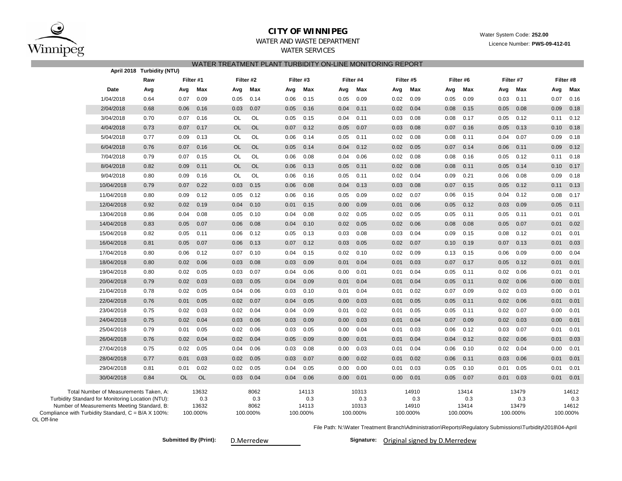

OL Off-line

### **CITY OF WINNIPEG**

Water System Code: **252.00**

Licence Number: **PWS-09-412-01**

# WATER AND WASTE DEPARTMENT

WATER SERVICES

| WATER TREATMENT PLANT TURBIDITY ON-LINE MONITORING REPORT<br>April 2018 Turbidity (NTU)                                                    |                                                     |                  |           |                       |           |                     |           |                       |           |                       |      |                       |      |                       |                                                                                                            |                       |      |                       |
|--------------------------------------------------------------------------------------------------------------------------------------------|-----------------------------------------------------|------------------|-----------|-----------------------|-----------|---------------------|-----------|-----------------------|-----------|-----------------------|------|-----------------------|------|-----------------------|------------------------------------------------------------------------------------------------------------|-----------------------|------|-----------------------|
|                                                                                                                                            |                                                     | Filter #1<br>Raw |           |                       |           | Filter #2           | Filter #3 |                       | Filter #4 |                       |      | Filter #5             |      | Filter #6             |                                                                                                            | Filter #7             |      | Filter #8             |
|                                                                                                                                            | Date                                                | Avg              | Avg       | Max                   | Avg       | Max                 | Avg       | Max                   | Avg       | Max                   | Avg  | Max                   | Avg  | Max                   | Avg                                                                                                        | Max                   | Avg  | Max                   |
|                                                                                                                                            | 1/04/2018                                           | 0.64             | 0.07      | 0.09                  | 0.05      | 0.14                | 0.06      | 0.15                  | 0.05      | 0.09                  | 0.02 | 0.09                  | 0.05 | 0.09                  | 0.03                                                                                                       | 0.11                  | 0.07 | 0.16                  |
|                                                                                                                                            | 2/04/2018                                           | 0.68             | 0.06      | 0.16                  | 0.03      | 0.07                | 0.05      | 0.16                  | 0.04      | 0.11                  | 0.02 | 0.04                  | 0.08 | 0.15                  | 0.05                                                                                                       | 0.08                  | 0.09 | 0.18                  |
|                                                                                                                                            | 3/04/2018                                           | 0.70             | 0.07      | 0.16                  | OL        | OL                  | 0.05      | 0.15                  | 0.04      | 0.11                  | 0.03 | 0.08                  | 0.08 | 0.17                  | 0.05                                                                                                       | 0.12                  | 0.11 | 0.12                  |
|                                                                                                                                            | 4/04/2018                                           | 0.73             | 0.07      | 0.17                  | <b>OL</b> | <b>OL</b>           | 0.07      | 0.12                  | 0.05      | 0.07                  | 0.03 | 0.08                  | 0.07 | 0.16                  | 0.05                                                                                                       | 0.13                  | 0.10 | 0.18                  |
|                                                                                                                                            | 5/04/2018                                           | 0.77             | 0.09      | 0.13                  | <b>OL</b> | <b>OL</b>           | 0.06      | 0.14                  | 0.05      | 0.11                  | 0.02 | 0.08                  | 0.08 | 0.11                  | 0.04                                                                                                       | 0.07                  | 0.09 | 0.18                  |
|                                                                                                                                            | 6/04/2018                                           | 0.76             | 0.07      | 0.16                  | <b>OL</b> | <b>OL</b>           | 0.05      | 0.14                  | 0.04      | 0.12                  | 0.02 | 0.05                  | 0.07 | 0.14                  | 0.06                                                                                                       | 0.11                  | 0.09 | 0.12                  |
|                                                                                                                                            | 7/04/2018                                           | 0.79             | 0.07      | 0.15                  | OL        | OL                  | 0.06      | 0.08                  | 0.04      | 0.06                  | 0.02 | 0.08                  | 0.08 | 0.16                  | 0.05                                                                                                       | 0.12                  | 0.11 | 0.18                  |
|                                                                                                                                            | 8/04/2018                                           | 0.82             | 0.09      | 0.11                  | <b>OL</b> | <b>OL</b>           | 0.06      | 0.13                  | 0.05      | 0.11                  | 0.02 | 0.08                  | 0.08 | 0.11                  | 0.05                                                                                                       | 0.14                  | 0.10 | 0.17                  |
|                                                                                                                                            | 9/04/2018                                           | 0.80             | 0.09      | 0.16                  | OL        | OL                  | 0.06      | 0.16                  | 0.05      | 0.11                  | 0.02 | 0.04                  | 0.09 | 0.21                  | 0.06                                                                                                       | 0.08                  | 0.09 | 0.18                  |
|                                                                                                                                            | 10/04/2018                                          | 0.79             | 0.07      | 0.22                  | 0.03      | 0.15                | 0.06      | 0.08                  | 0.04      | 0.13                  | 0.03 | 0.08                  | 0.07 | 0.15                  | 0.05                                                                                                       | 0.12                  | 0.11 | 0.13                  |
|                                                                                                                                            | 11/04/2018                                          | 0.80             | 0.09      | 0.12                  | 0.05      | 0.12                | 0.06      | 0.16                  | 0.05      | 0.09                  | 0.02 | 0.07                  | 0.06 | 0.15                  | 0.04                                                                                                       | 0.12                  | 0.08 | 0.17                  |
|                                                                                                                                            | 12/04/2018                                          | 0.92             | 0.02      | 0.19                  | 0.04      | 0.10                | 0.01      | 0.15                  | 0.00      | 0.09                  | 0.01 | 0.06                  | 0.05 | 0.12                  | 0.03                                                                                                       | 0.09                  | 0.05 | 0.11                  |
|                                                                                                                                            | 13/04/2018                                          | 0.86             | 0.04      | 0.08                  | 0.05      | 0.10                | 0.04      | 0.08                  | 0.02      | 0.05                  | 0.02 | 0.05                  | 0.05 | 0.11                  | 0.05                                                                                                       | 0.11                  | 0.01 | 0.01                  |
|                                                                                                                                            | 14/04/2018                                          | 0.83             | 0.05      | 0.07                  | 0.06      | 0.08                | 0.04      | 0.10                  | 0.02      | 0.05                  | 0.02 | 0.06                  | 0.08 | 0.08                  | 0.05                                                                                                       | 0.07                  | 0.01 | 0.02                  |
|                                                                                                                                            | 15/04/2018                                          | 0.82             | 0.05      | 0.11                  | 0.06      | 0.12                | 0.05      | 0.13                  | 0.03      | 0.08                  | 0.03 | 0.04                  | 0.09 | 0.15                  | 0.08                                                                                                       | 0.12                  | 0.01 | 0.01                  |
|                                                                                                                                            | 16/04/2018                                          | 0.81             | 0.05      | 0.07                  | 0.06      | 0.13                | 0.07      | 0.12                  | 0.03      | 0.05                  | 0.02 | 0.07                  | 0.10 | 0.19                  | 0.07                                                                                                       | 0.13                  | 0.01 | 0.03                  |
|                                                                                                                                            | 17/04/2018                                          | 0.80             | 0.06      | 0.12                  | 0.07      | 0.10                | 0.04      | 0.15                  | 0.02      | 0.10                  | 0.02 | 0.09                  | 0.13 | 0.15                  | 0.06                                                                                                       | 0.09                  | 0.00 | 0.04                  |
|                                                                                                                                            | 18/04/2018                                          | 0.80             | 0.02      | 0.06                  | 0.03      | 0.08                | 0.03      | 0.09                  | 0.01      | 0.04                  | 0.01 | 0.03                  | 0.07 | 0.17                  | 0.05                                                                                                       | 0.12                  | 0.01 | 0.01                  |
|                                                                                                                                            | 19/04/2018                                          | 0.80             | 0.02      | 0.05                  | 0.03      | 0.07                | 0.04      | 0.06                  | 0.00      | 0.01                  | 0.01 | 0.04                  | 0.05 | 0.11                  | 0.02                                                                                                       | 0.06                  | 0.01 | 0.01                  |
|                                                                                                                                            | 20/04/2018                                          | 0.79             | 0.02      | 0.03                  | 0.03      | 0.05                | 0.04      | 0.09                  | 0.01      | 0.04                  | 0.01 | 0.04                  | 0.05 | 0.11                  | 0.02                                                                                                       | 0.06                  | 0.00 | 0.01                  |
|                                                                                                                                            | 21/04/2018                                          | 0.78             | 0.02      | 0.05                  | 0.04      | 0.06                | 0.03      | 0.10                  | 0.01      | 0.04                  | 0.01 | 0.02                  | 0.07 | 0.09                  | 0.02                                                                                                       | 0.03                  | 0.00 | 0.01                  |
|                                                                                                                                            | 22/04/2018                                          | 0.76             | 0.01      | 0.05                  | 0.02      | 0.07                | 0.04      | 0.05                  | 0.00      | 0.03                  | 0.01 | 0.05                  | 0.05 | 0.11                  | 0.02                                                                                                       | 0.06                  | 0.01 | 0.01                  |
|                                                                                                                                            | 23/04/2018                                          | 0.75             | 0.02      | 0.03                  | 0.02      | 0.04                | 0.04      | 0.09                  | 0.01      | 0.02                  | 0.01 | 0.05                  | 0.05 | 0.11                  | 0.02                                                                                                       | 0.07                  | 0.00 | 0.01                  |
|                                                                                                                                            | 24/04/2018                                          | 0.75             | 0.02      | 0.04                  | 0.03      | 0.06                | 0.03      | 0.09                  | 0.00      | 0.03                  | 0.01 | 0.04                  | 0.07 | 0.09                  | 0.02                                                                                                       | 0.03                  | 0.00 | 0.01                  |
|                                                                                                                                            | 25/04/2018                                          | 0.79             | 0.01      | 0.05                  | 0.02      | 0.06                | 0.03      | 0.05                  | 0.00      | 0.04                  | 0.01 | 0.03                  | 0.06 | 0.12                  | 0.03                                                                                                       | 0.07                  | 0.01 | 0.01                  |
|                                                                                                                                            | 26/04/2018                                          | 0.76             | 0.02      | 0.04                  | 0.02      | 0.04                | 0.05      | 0.09                  | 0.00      | 0.01                  | 0.01 | 0.04                  | 0.04 | 0.12                  | 0.02                                                                                                       | 0.06                  | 0.01 | 0.03                  |
|                                                                                                                                            | 27/04/2018                                          | 0.75             | 0.02      | 0.05                  | 0.04      | 0.06                | 0.03      | 0.08                  | 0.00      | 0.03                  | 0.01 | 0.04                  | 0.06 | 0.10                  | 0.02                                                                                                       | 0.04                  | 0.00 | 0.01                  |
|                                                                                                                                            | 28/04/2018                                          | 0.77             | 0.01      | 0.03                  | 0.02      | 0.05                | 0.03      | 0.07                  | 0.00      | 0.02                  | 0.01 | 0.02                  | 0.06 | 0.11                  | 0.03                                                                                                       | 0.06                  | 0.01 | 0.01                  |
|                                                                                                                                            | 29/04/2018                                          | 0.81             | 0.01      | 0.02                  | 0.02      | 0.05                | 0.04      | 0.05                  | 0.00      | 0.00                  | 0.01 | 0.03                  | 0.05 | 0.10                  | 0.01                                                                                                       | 0.05                  | 0.01 | 0.01                  |
|                                                                                                                                            | 30/04/2018                                          | 0.84             | <b>OL</b> | <b>OL</b>             | 0.03      | 0.04                | 0.04      | 0.06                  | 0.00      | 0.01                  | 0.00 | 0.01                  | 0.05 | 0.07                  | 0.01                                                                                                       | 0.03                  | 0.01 | 0.01                  |
| Total Number of Measurements Taken, A:<br>Turbidity Standard for Monitoring Location (NTU):<br>Number of Measurements Meeting Standard, B: |                                                     |                  |           | 13632<br>0.3<br>13632 |           | 8062<br>0.3<br>8062 |           | 14113<br>0.3<br>14113 |           | 10313<br>0.3<br>10313 |      | 14910<br>0.3<br>14910 |      | 13414<br>0.3<br>13414 |                                                                                                            | 13479<br>0.3<br>13479 |      | 14612<br>0.3<br>14612 |
| Off-line                                                                                                                                   | Compliance with Turbidity Standard, C = B/A X 100%: |                  |           | 100.000%              |           | 100.000%            |           | 100.000%              |           | 100.000%              |      | 100.000%              |      | 100.000%              | File Path: N:\Water Treatment Branch\Administration\Reports\Requlatory Submissions\Turbidity\2018\04-April | 100.000%              |      | 100.000%              |

Submitted By (Print): D.Merredew **Communisty Communisty Communisty Communisty Communisty Communisty Original signed by D.Merredew**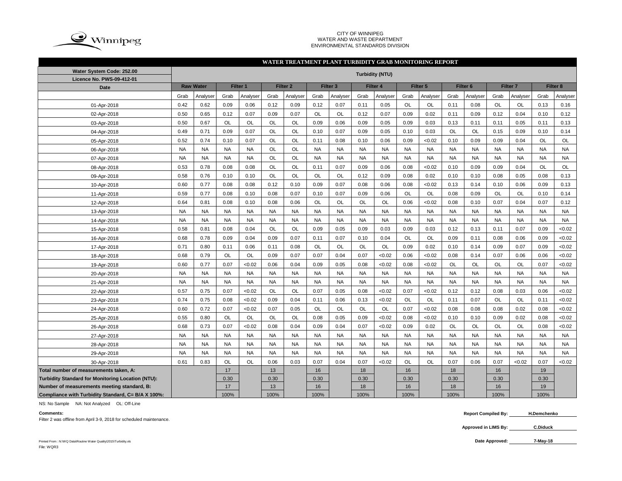

### CITY OF WINNIPEG WATER AND WASTE DEPARTMENT ENVIRONMENTAL STANDARDS DIVISION

NA NA NA NA NA NA NA NA NA NA NA NA NA NA NA NA NA NA NA NA NA NA NA NA NA NA NA NA NA NA NA NA NA NA NA NA 0.61 | 0.83 | OL | OL | 0.06 | 0.03 | 0.07 | 0.04 | 0.07 | <0.02 | OL | OL | 0.07 | 0.06 | 0.07 | <0.02 | 0.07 | <0.02

#### Grab |Analyser| Grab |Analyser| Grab |Analyser| Grab |Analyser| Grab |Analyser| Grab |Analyser| Grab |Grab |Analyser| Grab |Analyser 0.42 | 0.62 | 0.09 | 0.06 | 0.12 | 0.09 | 0.12 | 0.07 | 0.11 | 0.05 | OL | OL | OL | 0.11 | 0.08 | OL | OL | 0.13 | 0.16 0.50 | 0.65 | 0.12 | 0.07 | 0.09 | 0.07 | OL | OL | 0.12 | 0.07 | 0.09 | 0.02 | 0.11 | 0.09 | 0.12 | 0.04 | 0.10 | 0.12 0.50 | 0.67 | OL | OL | OL | OL | 0.09 | 0.06 | 0.09 | 0.05 | 0.09 | 0.03 | 0.13 | 0.11 | 0.11 | 0.05 | 0.11 | 0.13 0.49 | 0.71 | 0.09 | 0.07 | OL | OL | 0.10 | 0.07 | 0.09 | 0.05 | 0.10 | 0.03 | OL | OL | 0.15 | 0.09 | 0.10 | 0.14 0.52 | 0.74 | 0.10 | 0.07 | OL | OL | 0.11 | 0.08 | 0.10 | 0.06 | 0.09 | <0.02 | 0.10 | 0.09 | 0.09 | 0.04 | OL | OL NA NA NA NA OL OL NA NA NA NA NA NA NA NA NA NA NA NA NA NA NA NA OL OL NA NA NA NA NA NA NA NA NA NA NA NA 0.53 | 0.78 | 0.08 | 0.08 | OL | OL | 0.11 | 0.07 | 0.09 | 0.06 | 0.08 | <0.02 | 0.10 | 0.09 | 0.09 | 0.04 | OL | OL 0.58 | 0.76 | 0.10 | 0.10 | OL | OL | OL | OL | 0.12 | 0.09 | 0.08 | 0.02 | 0.10 | 0.10 | 0.08 | 0.05 | 0.08 | 0.13 0.60 | 0.77 | 0.08 | 0.08 | 0.12 | 0.10 | 0.09 | 0.07 | 0.08 | 0.06 | 0.08 | <0.02 | 0.13 | 0.14 | 0.10 | 0.06 | 0.09 | 0.13 0.59 | 0.77 | 0.08 | 0.10 | 0.08 | 0.07 | 0.10 | 0.07 | 0.09 | 0.06 | OL | OL | OL | 0.08 | 0.09 | OL | OL | 0.10 | 0.14 0.64 | 0.81 | 0.08 | 0.10 | 0.08 | 0.06 | OL | OL | OL | OL | 0.06 | <0.02 | 0.08 | 0.10 | 0.07 | 0.04 | 0.07 | 0.12 NA NA NA NA NA NA NA NA NA NA NA NA NA NA NA NA NA NA NA NA NA NA NA NA NA NA NA NA NA NA NA NA NA NA NA NA 0.58 | 0.81 | 0.08 | 0.04 | OL | OL | 0.09 | 0.05 | 0.09 | 0.03 | 0.09 | 0.03 | 0.12 | 0.13 | 0.11 | 0.07 | 0.09 | <0.02 0.68 | 0.78 | 0.09 | 0.04 | 0.09 | 0.07 | 0.11 | 0.07 | 0.10 | 0.04 | OL | OL | 0.09 | 0.11 | 0.08 | 0.06 | 0.09 | <0.02 0.71 | 0.80 | 0.11 | 0.06 | 0.11 | 0.08 | OL | OL | OL | OL | 0.09 | 0.02 | 0.10 | 0.14 | 0.09 | 0.07 | 0.09 | <0.02 0.68 | 0.79 | OL | OL | 0.09 | 0.07 | 0.07 | 0.04 | 0.07 | <0.02 | 0.06 | <0.02 | 0.08 | 0.14 | 0.07 | 0.06 | <0.02 0.60 | 0.77 | 0.07 | <0.02 | 0.06 | 0.04 | 0.09 | 0.05 | 0.08 | <0.02 | 0.08 | <0.02 | OL | OL | OL | OL | OL | 0.07 | <0.02 NA NA NA NA NA NA NA NA NA NA NA NA NA NA NA NA NA NA NA NA NA NA NA NA NA NA NA NA NA NA NA NA NA NA NA NA 0.57 | 0.75 | 0.07 | <0.02 | OL | OL | 0.07 | 0.05 | 0.08 | <0.02 | 0.07 | <0.02 | 0.12 | 0.12 | 0.08 | 0.03 | 0.06 | <0.02 0.74 | 0.75 | 0.08 | <0.02 | 0.09 | 0.04 | 0.11 | 0.06 | 0.13 | <0.02 | OL | OL | 0.11 | 0.07 | OL | OL | OL | 0.11 | <0.02 0.60 | 0.72 | 0.07 | <0.02 | 0.07 | 0.05 | OL | OL | OL | OL | 0.07 | <0.02 | 0.08 | 0.08 | 0.02 | 0.08 | <0.02 0.55 | 0.80 | OL | OL | OL | OL | 0.08 | 0.05 | 0.09 | <0.02 | 0.08 | <0.02 | 0.10 | 0.10 | 0.09 | 0.02 | 0.08 | <0.02 0.68 | 0.73 | 0.07 | <0.02 | 0.08 | 0.04 | 0.09 | 0.04 | 0.07 | <0.02 | 0.09 | 0.02 | OL | OL | OL | OL | 0.08 | <0.02 NA NA NA NA NA NA NA NA NA NA NA NA NA NA NA NA NA NA 25-Apr-2018 26-Apr-2018 27-Apr-2018 28-Apr-2018 24-Apr-2018 13-Apr-2018 14-Apr-2018 15-Apr-2018 16-Apr-2018 17-Apr-2018 18-Apr-2018 19-Apr-2018 20-Apr-2018 21-Apr-2018 22-Apr-2018 23-Apr-2018 12-Apr-2018 01-Apr-2018 02-Apr-2018 03-Apr-2018 04-Apr-2018 05-Apr-2018 06-Apr-2018 07-Apr-2018 08-Apr-2018 09-Apr-2018 10-Apr-2018 11-Apr-2018 **WATER TREATMENT PLANT TURBIDITY GRAB MONITORING REPORT Water System Code: 252.00 Turbidity (NTU) Licence No. PWS-09-412-01 Date Raw Water Filter 1 Filter 2 Filter 3 Filter 4 Filter 5 Filter 6 Filter 7 Filter 8**

**Total number of measurements taken, A:** 17 13 16 18 16 18 16 19 **Turbidity Standard for Monitoring Location (NTU):** | 0.30 | 0.30 | 0.30 | 0.30 | 0.30 | 0.30 | 0.30 | 0.30 | 0.30 **Number of measurements meeting standard, B:** 17 13 16 18 16 18 16 19 **Compliance with Turbidity Standard, C= B/A X 100%:** 100% 100% 100% 100% 100% 100% 100% 100%

NS: No Sample NA: Not Analyzed OL: Off-Line

Filter 2 was offline from April 3-9, 2018 for scheduled maintenance.

29-Apr-2018 30-Apr-2018

**Comments: Report Compiled By: H.Demchenko**

> **Approved in LIMS By: C.Diduck**

Printed From : N:\WQ Data\Routine Water Quality\2015\Turbidity.xls **Date Approved:** File: WQR3

**7-May-18**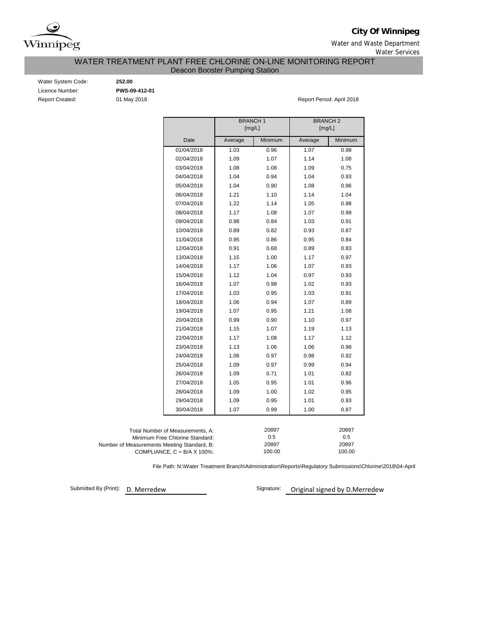

**City Of Winnipeg**

Water and Waste Department Water Services

WATER TREATMENT PLANT FREE CHLORINE ON-LINE MONITORING REPORT

Deacon Booster Pumping Station

| Water System Code:     |
|------------------------|
| Licence Number:        |
| <b>Report Created:</b> |

Water System Code: **252.00** Licence Number: **PWS-09-412-01**

01 May 2018 **Report Period: April 2018** 

|                                             |                                      | <b>BRANCH1</b><br>[mg/L] |         | <b>BRANCH2</b><br>[mg/L] |         |  |  |  |  |
|---------------------------------------------|--------------------------------------|--------------------------|---------|--------------------------|---------|--|--|--|--|
|                                             |                                      |                          |         |                          |         |  |  |  |  |
|                                             | Date                                 | Average                  | Minimum | Average                  | Minimum |  |  |  |  |
|                                             | 01/04/2018                           | 1.03                     | 0.96    | 1.07                     | 0.98    |  |  |  |  |
|                                             | 02/04/2018                           | 1.09                     | 1.07    | 1.14                     | 1.08    |  |  |  |  |
|                                             | 03/04/2018                           | 1.08                     | 1.08    | 1.09                     | 0.75    |  |  |  |  |
|                                             | 04/04/2018                           | 1.04                     | 0.94    | 1.04                     | 0.93    |  |  |  |  |
|                                             | 05/04/2018                           | 1.04                     | 0.90    | 1.08                     | 0.96    |  |  |  |  |
|                                             | 06/04/2018                           | 1.21                     | 1.10    | 1.14                     | 1.04    |  |  |  |  |
|                                             | 07/04/2018                           | 1.22                     | 1.14    | 1.05                     | 0.98    |  |  |  |  |
|                                             | 08/04/2018                           | 1.17                     | 1.08    | 1.07                     | 0.99    |  |  |  |  |
|                                             | 09/04/2018                           | 0.98                     | 0.84    | 1.03                     | 0.91    |  |  |  |  |
|                                             | 10/04/2018                           | 0.89                     | 0.82    | 0.93                     | 0.87    |  |  |  |  |
|                                             | 11/04/2018                           | 0.95                     | 0.86    | 0.95                     | 0.84    |  |  |  |  |
|                                             | 12/04/2018                           | 0.91                     | 0.68    | 0.89                     | 0.83    |  |  |  |  |
|                                             | 13/04/2018                           | 1.15                     | 1.00    | 1.17                     | 0.97    |  |  |  |  |
|                                             | 14/04/2018                           | 1.17                     | 1.06    | 1.07                     | 0.93    |  |  |  |  |
|                                             | 15/04/2018                           | 1.12                     | 1.04    | 0.97                     | 0.93    |  |  |  |  |
|                                             | 16/04/2018                           | 1.07                     | 0.98    | 1.02                     | 0.93    |  |  |  |  |
|                                             | 17/04/2018                           | 1.03                     | 0.95    | 1.03                     | 0.91    |  |  |  |  |
|                                             | 18/04/2018                           | 1.06                     | 0.94    | 1.07                     | 0.89    |  |  |  |  |
|                                             | 19/04/2018                           | 1.07                     | 0.95    | 1.21                     | 1.08    |  |  |  |  |
|                                             | 20/04/2018                           | 0.99                     | 0.90    | 1.10                     | 0.97    |  |  |  |  |
|                                             | 21/04/2018                           | 1.15                     | 1.07    | 1.19                     | 1.13    |  |  |  |  |
|                                             | 22/04/2018                           | 1.17                     | 1.08    | 1.17                     | 1.12    |  |  |  |  |
|                                             | 23/04/2018                           | 1.13                     | 1.06    | 1.06                     | 0.98    |  |  |  |  |
|                                             | 24/04/2018                           | 1.06                     | 0.97    | 0.98                     | 0.92    |  |  |  |  |
|                                             | 25/04/2018                           | 1.09                     | 0.97    | 0.99                     | 0.94    |  |  |  |  |
|                                             | 26/04/2018                           | 1.09                     | 0.71    | 1.01                     | 0.82    |  |  |  |  |
|                                             | 27/04/2018                           | 1.05                     | 0.95    | 1.01                     | 0.96    |  |  |  |  |
|                                             | 28/04/2018                           | 1.09                     | 1.00    | 1.02                     | 0.95    |  |  |  |  |
|                                             | 29/04/2018                           | 1.09                     | 0.95    | 1.01                     | 0.93    |  |  |  |  |
|                                             | 30/04/2018                           | 1.07                     | 0.99    | 1.00                     | 0.87    |  |  |  |  |
|                                             |                                      |                          |         |                          |         |  |  |  |  |
|                                             | Total Number of Measurements, A:     |                          | 20897   |                          | 20897   |  |  |  |  |
|                                             | Minimum Free Chlorine Standard:      |                          |         | 0.5                      |         |  |  |  |  |
| Number of Measurements Meeting Standard, B: |                                      |                          | 20897   |                          | 20897   |  |  |  |  |
|                                             | COMPLIANCE, $C = B/A \times 100\%$ : | 100.00<br>100.00         |         |                          |         |  |  |  |  |

File Path: N:\Water Treatment Branch\Administration\Reports\Regulatory Submissions\Chlorine\2018\04-April

Submitted By (Print): D. Merredew

Signature: Original signed by D.Merredew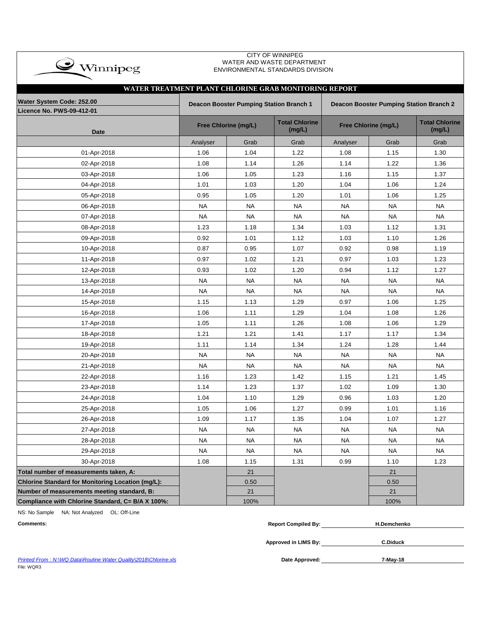| $\mathbf{w}$ Winnipeg                                 |                                                                                                  |                             | WATER AND WASTE DEPARTMENT<br>ENVIRONMENTAL STANDARDS DIVISION |           |                      |                                 |  |  |  |  |  |  |  |
|-------------------------------------------------------|--------------------------------------------------------------------------------------------------|-----------------------------|----------------------------------------------------------------|-----------|----------------------|---------------------------------|--|--|--|--|--|--|--|
|                                                       |                                                                                                  |                             |                                                                |           |                      |                                 |  |  |  |  |  |  |  |
| WATER TREATMENT PLANT CHLORINE GRAB MONITORING REPORT |                                                                                                  |                             |                                                                |           |                      |                                 |  |  |  |  |  |  |  |
| Water System Code: 252.00                             | <b>Deacon Booster Pumping Station Branch 1</b><br><b>Deacon Booster Pumping Station Branch 2</b> |                             |                                                                |           |                      |                                 |  |  |  |  |  |  |  |
| <b>Licence No. PWS-09-412-01</b>                      |                                                                                                  |                             |                                                                |           |                      |                                 |  |  |  |  |  |  |  |
| <b>Date</b>                                           |                                                                                                  | <b>Free Chlorine (mg/L)</b> | <b>Total Chlorine</b><br>(mg/L)                                |           | Free Chlorine (mg/L) | <b>Total Chlorine</b><br>(mg/L) |  |  |  |  |  |  |  |
|                                                       | Analyser                                                                                         | Grab                        | Grab                                                           | Analyser  | Grab                 | Grab                            |  |  |  |  |  |  |  |
| 01-Apr-2018                                           | 1.06                                                                                             | 1.04                        | 1.22                                                           | 1.08      | 1.15                 | 1.30                            |  |  |  |  |  |  |  |
| 02-Apr-2018                                           | 1.08                                                                                             | 1.14                        | 1.26                                                           | 1.14      | 1.22                 | 1.36                            |  |  |  |  |  |  |  |
| 03-Apr-2018                                           | 1.06                                                                                             | 1.05                        | 1.23                                                           | 1.16      | 1.15                 | 1.37                            |  |  |  |  |  |  |  |
| 04-Apr-2018                                           | 1.01                                                                                             | 1.03                        | 1.20                                                           | 1.04      | 1.06                 | 1.24                            |  |  |  |  |  |  |  |
| 05-Apr-2018                                           | 0.95                                                                                             | 1.05                        | 1.20                                                           | 1.01      | 1.06                 | 1.25                            |  |  |  |  |  |  |  |
| 06-Apr-2018                                           | <b>NA</b>                                                                                        | <b>NA</b>                   | <b>NA</b>                                                      | <b>NA</b> | <b>NA</b>            | <b>NA</b>                       |  |  |  |  |  |  |  |
| 07-Apr-2018                                           | <b>NA</b>                                                                                        | <b>NA</b>                   | <b>NA</b>                                                      | <b>NA</b> | <b>NA</b>            | <b>NA</b>                       |  |  |  |  |  |  |  |
| 08-Apr-2018                                           | 1.23                                                                                             | 1.18                        | 1.34                                                           | 1.03      | 1.12                 | 1.31                            |  |  |  |  |  |  |  |
| 09-Apr-2018                                           | 0.92                                                                                             | 1.01                        | 1.12                                                           | 1.03      | 1.10                 | 1.26                            |  |  |  |  |  |  |  |
| 10-Apr-2018                                           | 0.87                                                                                             | 0.95                        | 1.07                                                           | 0.92      | 0.98                 | 1.19                            |  |  |  |  |  |  |  |
| 11-Apr-2018                                           | 0.97                                                                                             | 1.02                        | 1.21                                                           | 0.97      | 1.03                 | 1.23                            |  |  |  |  |  |  |  |
| 12-Apr-2018                                           | 0.93                                                                                             | 1.02                        | 1.20                                                           | 0.94      | 1.12                 | 1.27                            |  |  |  |  |  |  |  |
| 13-Apr-2018                                           | <b>NA</b>                                                                                        | <b>NA</b>                   | <b>NA</b>                                                      | <b>NA</b> | <b>NA</b>            | <b>NA</b>                       |  |  |  |  |  |  |  |
| 14-Apr-2018                                           | <b>NA</b>                                                                                        | <b>NA</b>                   | <b>NA</b>                                                      | <b>NA</b> | <b>NA</b>            | <b>NA</b>                       |  |  |  |  |  |  |  |
| 15-Apr-2018                                           | 1.15                                                                                             | 1.13                        | 1.29                                                           | 0.97      | 1.06                 | 1.25                            |  |  |  |  |  |  |  |
| 16-Apr-2018                                           | 1.06                                                                                             | 1.11                        | 1.29                                                           | 1.04      | 1.08                 | 1.26                            |  |  |  |  |  |  |  |
| 17-Apr-2018                                           | 1.05                                                                                             | 1.11                        | 1.26                                                           | 1.08      | 1.06                 | 1.29                            |  |  |  |  |  |  |  |
| 18-Apr-2018                                           | 1.21                                                                                             | 1.21                        | 1.41                                                           | 1.17      | 1.17                 | 1.34                            |  |  |  |  |  |  |  |
| 19-Apr-2018                                           | 1.11                                                                                             | 1.14                        | 1.34                                                           | 1.24      | 1.28                 | 1.44                            |  |  |  |  |  |  |  |
| 20-Apr-2018                                           | <b>NA</b>                                                                                        | <b>NA</b>                   | <b>NA</b>                                                      | <b>NA</b> | <b>NA</b>            | <b>NA</b>                       |  |  |  |  |  |  |  |
| 21-Apr-2018                                           | <b>NA</b>                                                                                        | <b>NA</b>                   | <b>NA</b>                                                      | <b>NA</b> | <b>NA</b>            | <b>NA</b>                       |  |  |  |  |  |  |  |
| 22-Apr-2018                                           | 1.16                                                                                             | 1.23                        | 1.42                                                           | 1.15      | 1.21                 | 1.45                            |  |  |  |  |  |  |  |
| 23-Apr-2018                                           | 1.14                                                                                             | 1.23                        | 1.37                                                           | 1.02      | 1.09                 | 1.30                            |  |  |  |  |  |  |  |
| 24-Apr-2018                                           | 1.04                                                                                             | 1.10                        | 1.29                                                           | 0.96      | 1.03                 | 1.20                            |  |  |  |  |  |  |  |
| 25-Apr-2018                                           | 1.05                                                                                             | 1.06                        | 1.27                                                           | 0.99      | 1.01                 | 1.16                            |  |  |  |  |  |  |  |
| 26-Apr-2018                                           | 1.09                                                                                             | 1.17                        | 1.35                                                           | 1.04      | 1.07                 | 1.27                            |  |  |  |  |  |  |  |
| 27-Apr-2018                                           | <b>NA</b>                                                                                        | <b>NA</b>                   | <b>NA</b>                                                      | <b>NA</b> | <b>NA</b>            | <b>NA</b>                       |  |  |  |  |  |  |  |
| 28-Apr-2018                                           | <b>NA</b>                                                                                        | <b>NA</b>                   | <b>NA</b>                                                      | <b>NA</b> | <b>NA</b>            | <b>NA</b>                       |  |  |  |  |  |  |  |
| 29-Apr-2018                                           | NA                                                                                               | <b>NA</b>                   | NA                                                             | <b>NA</b> | <b>NA</b>            | <b>NA</b>                       |  |  |  |  |  |  |  |
| 30-Apr-2018                                           | 1.08                                                                                             | 1.15                        | 1.31                                                           | 0.99      | 1.10                 | 1.23                            |  |  |  |  |  |  |  |
| Total number of measurements taken, A:                |                                                                                                  | 21                          |                                                                |           | 21                   |                                 |  |  |  |  |  |  |  |
| Chlorine Standard for Monitoring Location (mg/L):     |                                                                                                  | 0.50                        |                                                                |           | 0.50                 |                                 |  |  |  |  |  |  |  |
| Number of measurements meeting standard, B:           |                                                                                                  | 21                          |                                                                |           | 21                   |                                 |  |  |  |  |  |  |  |
| Compliance with Chlorine Standard, C= B/A X 100%:     |                                                                                                  | 100%                        |                                                                |           | 100%                 |                                 |  |  |  |  |  |  |  |

CITY OF WINNIPEG

NS: No Sample NA: Not Analyzed OL: Off-Line

 $\rightarrow$ 

| <b>Comments:</b> | <b>Report Compiled Bv:</b> | <b>H.Demchenko</b> |
|------------------|----------------------------|--------------------|
|                  |                            |                    |

**Approved in LIMS By: C.Diduck**

**Printed From : N:\WQ Data\Routine Water Quality\2018\Chlorine.xls** File: WQR3

Date Approved: 7-May-18